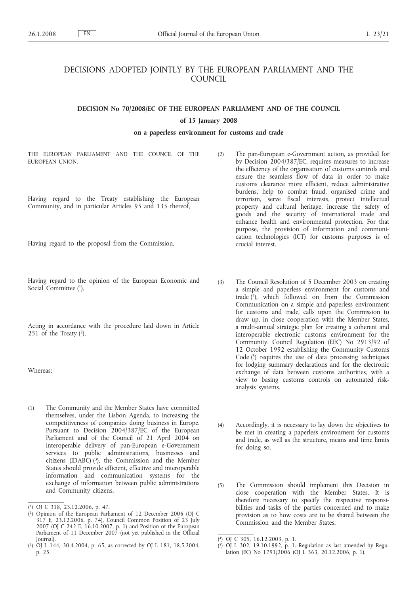# DECISIONS ADOPTED JOINTLY BY THE EUROPEAN PARLIAMENT AND THE COUNCIL

# **DECISION No 70/2008/EC OF THE EUROPEAN PARLIAMENT AND OF THE COUNCIL**

### **of 15 January 2008**

# **on a paperless environment for customs and trade**

THE EUROPEAN PARLIAMENT AND THE COUNCIL OF THE EUROPEAN UNION

Having regard to the Treaty establishing the European Community, and in particular Articles 95 and 135 thereof,

Having regard to the proposal from the Commission,

Having regard to the opinion of the European Economic and Social Committee (1),

Acting in accordance with the procedure laid down in Article 251 of the Treaty  $(2)$ ,

Whereas:

(1) The Community and the Member States have committed themselves, under the Lisbon Agenda, to increasing the competitiveness of companies doing business in Europe. Pursuant to Decision 2004/387/EC of the European Parliament and of the Council of 21 April 2004 on interoperable delivery of pan-European e-Government services to public administrations, businesses and citizens (IDABC)  $(3)$ , the Commission and the Member States should provide efficient, effective and interoperable information and communication systems for the exchange of information between public administrations and Community citizens.

- (2) The pan-European e-Government action, as provided for by Decision 2004/387/EC, requires measures to increase the efficiency of the organisation of customs controls and ensure the seamless flow of data in order to make customs clearance more efficient, reduce administrative burdens, help to combat fraud, organised crime and terrorism, serve fiscal interests, protect intellectual property and cultural heritage, increase the safety of goods and the security of international trade and enhance health and environmental protection. For that purpose, the provision of information and communication technologies (ICT) for customs purposes is of crucial interest.
- (3) The Council Resolution of 5 December 2003 on creating a simple and paperless environment for customs and trade  $(4)$ , which followed on from the Commission Communication on a simple and paperless environment for customs and trade, calls upon the Commission to draw up, in close cooperation with the Member States, a multi-annual strategic plan for creating a coherent and interoperable electronic customs environment for the Community. Council Regulation (EEC) No 2913/92 of 12 October 1992 establishing the Community Customs Code  $(5)$  requires the use of data processing techniques for lodging summary declarations and for the electronic exchange of data between customs authorities, with a view to basing customs controls on automated riskanalysis systems.
- (4) Accordingly, it is necessary to lay down the objectives to be met in creating a paperless environment for customs and trade, as well as the structure, means and time limits for doing so.
- (5) The Commission should implement this Decision in close cooperation with the Member States. It is therefore necessary to specify the respective responsibilities and tasks of the parties concerned and to make provision as to how costs are to be shared between the Commission and the Member States.

<sup>(</sup> 1) OJ C 318, 23.12.2006, p. 47.

<sup>(</sup> 2) Opinion of the European Parliament of 12 December 2006 (OJ C 317 E, 23.12.2006, p. 74), Council Common Position of 23 July 2007 (OJ C 242 E, 16.10.2007, p. 1) and Position of the European Parliament of 11 December 2007 (not yet published in the Official Journal).

<sup>(</sup> 3) OJ L 144, 30.4.2004, p. 65, as corrected by OJ L 181, 18.5.2004, p. 25.

<sup>(</sup> 4) OJ C 305, 16.12.2003, p. 1.

<sup>(</sup> 5) OJ L 302, 19.10.1992, p. 1. Regulation as last amended by Regulation (EC) No  $1791/2006$  (OJ L 363, 20.12.2006, p. 1).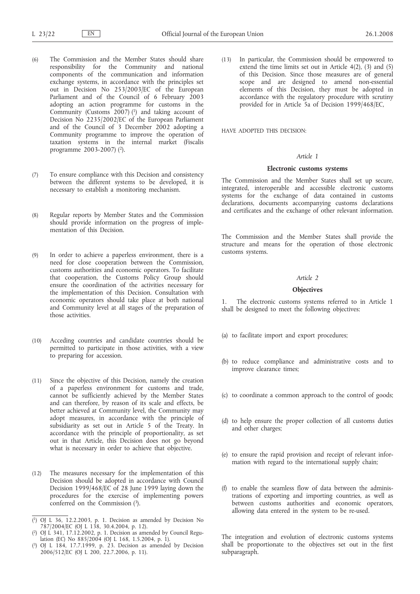- (6) The Commission and the Member States should share responsibility for the Community and national components of the communication and information exchange systems, in accordance with the principles set out in Decision No 253/2003/EC of the European Parliament and of the Council of 6 February 2003 adopting an action programme for customs in the Community (Customs  $2007$ ) (1) and taking account of Decision No 2235/2002/EC of the European Parliament and of the Council of 3 December 2002 adopting a Community programme to improve the operation of taxation systems in the internal market (Fiscalis programme 2003-2007) (2).
- (7) To ensure compliance with this Decision and consistency between the different systems to be developed, it is necessary to establish a monitoring mechanism.
- (8) Regular reports by Member States and the Commission should provide information on the progress of implementation of this Decision.
- (9) In order to achieve a paperless environment, there is a need for close cooperation between the Commission, customs authorities and economic operators. To facilitate that cooperation, the Customs Policy Group should ensure the coordination of the activities necessary for the implementation of this Decision. Consultation with economic operators should take place at both national and Community level at all stages of the preparation of those activities.
- (10) Acceding countries and candidate countries should be permitted to participate in those activities, with a view to preparing for accession.
- (11) Since the objective of this Decision, namely the creation of a paperless environment for customs and trade, cannot be sufficiently achieved by the Member States and can therefore, by reason of its scale and effects, be better achieved at Community level, the Community may adopt measures, in accordance with the principle of subsidiarity as set out in Article 5 of the Treaty. In accordance with the principle of proportionality, as set out in that Article, this Decision does not go beyond what is necessary in order to achieve that objective.
- (12) The measures necessary for the implementation of this Decision should be adopted in accordance with Council Decision 1999/468/EC of 28 June 1999 laying down the procedures for the exercise of implementing powers conferred on the Commission (3).
- ( 1) OJ L 36, 12.2.2003, p. 1. Decision as amended by Decision No 787/2004/EC (OJ L 138, 30.4.2004, p. 12).

( 3) OJ L 184, 17.7.1999, p. 23. Decision as amended by Decision 2006/512/EC (OJ L 200, 22.7.2006, p. 11).

(13) In particular, the Commission should be empowered to extend the time limits set out in Article  $4(2)$ ,  $(3)$  and  $(5)$ of this Decision. Since those measures are of general scope and are designed to amend non-essential elements of this Decision, they must be adopted in accordance with the regulatory procedure with scrutiny provided for in Article 5a of Decision 1999/468/EC,

HAVE ADOPTED THIS DECISION:

#### *Article 1*

## **Electronic customs systems**

The Commission and the Member States shall set up secure, integrated, interoperable and accessible electronic customs systems for the exchange of data contained in customs declarations, documents accompanying customs declarations and certificates and the exchange of other relevant information.

The Commission and the Member States shall provide the structure and means for the operation of those electronic customs systems.

#### *Article 2*

# **Objectives**

1. The electronic customs systems referred to in Article 1 shall be designed to meet the following objectives:

- (a) to facilitate import and export procedures;
- (b) to reduce compliance and administrative costs and to improve clearance times;
- (c) to coordinate a common approach to the control of goods;
- (d) to help ensure the proper collection of all customs duties and other charges;
- (e) to ensure the rapid provision and receipt of relevant information with regard to the international supply chain;
- (f) to enable the seamless flow of data between the administrations of exporting and importing countries, as well as between customs authorities and economic operators, allowing data entered in the system to be re-used.

The integration and evolution of electronic customs systems shall be proportionate to the objectives set out in the first subparagraph.

<sup>(</sup> 2) OJ L 341, 17.12.2002, p. 1. Decision as amended by Council Regulation (EC) No 885/2004 (OJ L 168, 1.5.2004, p. 1).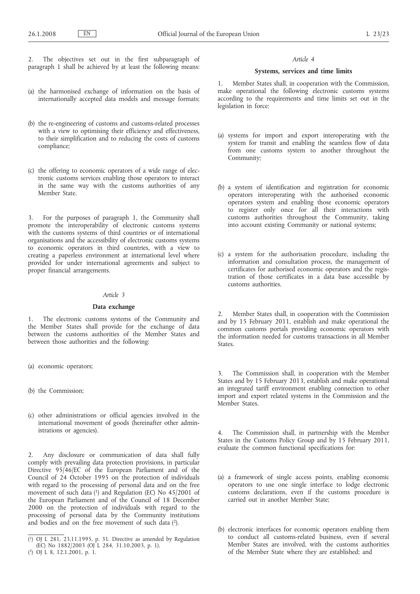2. The objectives set out in the first subparagraph of paragraph 1 shall be achieved by at least the following means:

- (a) the harmonised exchange of information on the basis of internationally accepted data models and message formats;
- (b) the re-engineering of customs and customs-related processes with a view to optimising their efficiency and effectiveness, to their simplification and to reducing the costs of customs compliance;
- (c) the offering to economic operators of a wide range of electronic customs services enabling those operators to interact in the same way with the customs authorities of any Member State.

3. For the purposes of paragraph 1, the Community shall promote the interoperability of electronic customs systems with the customs systems of third countries or of international organisations and the accessibility of electronic customs systems to economic operators in third countries, with a view to creating a paperless environment at international level where provided for under international agreements and subject to proper financial arrangements.

#### *Article 3*

## **Data exchange**

1. The electronic customs systems of the Community and the Member States shall provide for the exchange of data between the customs authorities of the Member States and between those authorities and the following:

- (a) economic operators;
- (b) the Commission;
- (c) other administrations or official agencies involved in the international movement of goods (hereinafter other administrations or agencies).

2. Any disclosure or communication of data shall fully comply with prevailing data protection provisions, in particular Directive 95/46/EC of the European Parliament and of the Council of 24 October 1995 on the protection of individuals with regard to the processing of personal data and on the free movement of such data (1) and Regulation (EC) No 45/2001 of the European Parliament and of the Council of 18 December 2000 on the protection of individuals with regard to the processing of personal data by the Community institutions and bodies and on the free movement of such data (2).

#### *Article 4*

## **Systems, services and time limits**

1. Member States shall, in cooperation with the Commission, make operational the following electronic customs systems according to the requirements and time limits set out in the legislation in force:

- (a) systems for import and export interoperating with the system for transit and enabling the seamless flow of data from one customs system to another throughout the Community;
- (b) a system of identification and registration for economic operators interoperating with the authorised economic operators system and enabling those economic operators to register only once for all their interactions with customs authorities throughout the Community, taking into account existing Community or national systems;
- (c) a system for the authorisation procedure, including the information and consultation process, the management of certificates for authorised economic operators and the registration of those certificates in a data base accessible by customs authorities.

2. Member States shall, in cooperation with the Commission and by 15 February 2011, establish and make operational the common customs portals providing economic operators with the information needed for customs transactions in all Member States.

3. The Commission shall, in cooperation with the Member States and by 15 February 2013, establish and make operational an integrated tariff environment enabling connection to other import and export related systems in the Commission and the Member States.

4. The Commission shall, in partnership with the Member States in the Customs Policy Group and by 15 February 2011, evaluate the common functional specifications for:

- (a) a framework of single access points, enabling economic operators to use one single interface to lodge electronic customs declarations, even if the customs procedure is carried out in another Member State;
- (b) electronic interfaces for economic operators enabling them to conduct all customs-related business, even if several Member States are involved, with the customs authorities of the Member State where they are established; and

<sup>(</sup> 1) OJ L 281, 23.11.1995, p. 31. Directive as amended by Regulation (EC) No 1882/2003 (OJ L 284, 31.10.2003, p. 1).

<sup>(</sup> 2) OJ L 8, 12.1.2001, p. 1.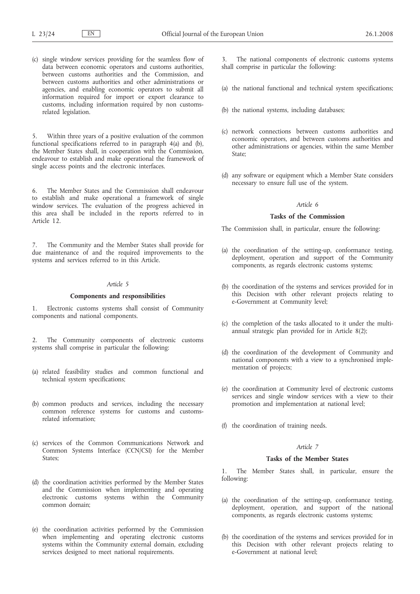(c) single window services providing for the seamless flow of data between economic operators and customs authorities, between customs authorities and the Commission, and between customs authorities and other administrations or agencies, and enabling economic operators to submit all information required for import or export clearance to customs, including information required by non customsrelated legislation.

Within three years of a positive evaluation of the common functional specifications referred to in paragraph 4(a) and (b), the Member States shall, in cooperation with the Commission, endeavour to establish and make operational the framework of single access points and the electronic interfaces.

6. The Member States and the Commission shall endeavour to establish and make operational a framework of single window services. The evaluation of the progress achieved in this area shall be included in the reports referred to in Article 12.

The Community and the Member States shall provide for due maintenance of and the required improvements to the systems and services referred to in this Article.

# *Article 5*

### **Components and responsibilities**

1. Electronic customs systems shall consist of Community components and national components.

2. The Community components of electronic customs systems shall comprise in particular the following:

- (a) related feasibility studies and common functional and technical system specifications;
- (b) common products and services, including the necessary common reference systems for customs and customsrelated information;
- (c) services of the Common Communications Network and Common Systems Interface (CCN/CSI) for the Member States;
- (d) the coordination activities performed by the Member States and the Commission when implementing and operating electronic customs systems within the Community common domain;
- (e) the coordination activities performed by the Commission when implementing and operating electronic customs systems within the Community external domain, excluding services designed to meet national requirements.

The national components of electronic customs systems shall comprise in particular the following:

- (a) the national functional and technical system specifications;
- (b) the national systems, including databases;
- (c) network connections between customs authorities and economic operators, and between customs authorities and other administrations or agencies, within the same Member State;
- (d) any software or equipment which a Member State considers necessary to ensure full use of the system.

## *Article 6*

## **Tasks of the Commission**

The Commission shall, in particular, ensure the following:

- (a) the coordination of the setting-up, conformance testing, deployment, operation and support of the Community components, as regards electronic customs systems;
- (b) the coordination of the systems and services provided for in this Decision with other relevant projects relating to e-Government at Community level;
- (c) the completion of the tasks allocated to it under the multiannual strategic plan provided for in Article 8(2);
- (d) the coordination of the development of Community and national components with a view to a synchronised implementation of projects;
- (e) the coordination at Community level of electronic customs services and single window services with a view to their promotion and implementation at national level;
- (f) the coordination of training needs.

# *Article 7*

# **Tasks of the Member States**

1. The Member States shall, in particular, ensure the following:

- (a) the coordination of the setting-up, conformance testing, deployment, operation, and support of the national components, as regards electronic customs systems;
- (b) the coordination of the systems and services provided for in this Decision with other relevant projects relating to e-Government at national level;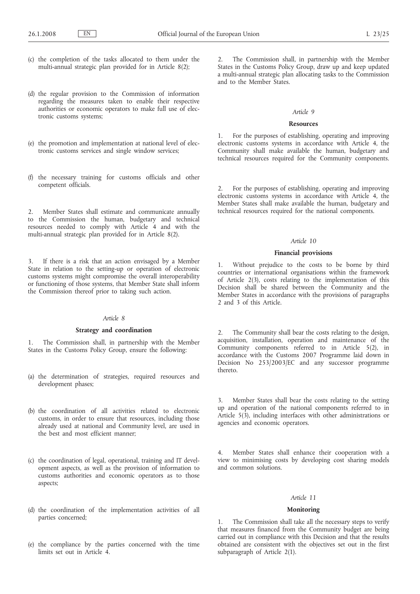- (c) the completion of the tasks allocated to them under the multi-annual strategic plan provided for in Article 8(2);
- (d) the regular provision to the Commission of information regarding the measures taken to enable their respective authorities or economic operators to make full use of electronic customs systems;
- (e) the promotion and implementation at national level of electronic customs services and single window services;
- (f) the necessary training for customs officials and other competent officials.

2. Member States shall estimate and communicate annually to the Commission the human, budgetary and technical resources needed to comply with Article 4 and with the multi-annual strategic plan provided for in Article 8(2).

3. If there is a risk that an action envisaged by a Member State in relation to the setting-up or operation of electronic customs systems might compromise the overall interoperability or functioning of those systems, that Member State shall inform the Commission thereof prior to taking such action.

### *Article 8*

## **Strategy and coordination**

1. The Commission shall, in partnership with the Member States in the Customs Policy Group, ensure the following:

- (a) the determination of strategies, required resources and development phases;
- (b) the coordination of all activities related to electronic customs, in order to ensure that resources, including those already used at national and Community level, are used in the best and most efficient manner;
- (c) the coordination of legal, operational, training and IT development aspects, as well as the provision of information to customs authorities and economic operators as to those aspects;
- (d) the coordination of the implementation activities of all parties concerned;
- (e) the compliance by the parties concerned with the time limits set out in Article 4.

2. The Commission shall, in partnership with the Member States in the Customs Policy Group, draw up and keep updated a multi-annual strategic plan allocating tasks to the Commission and to the Member States.

## *Article 9*

## **Resources**

1. For the purposes of establishing, operating and improving electronic customs systems in accordance with Article 4, the Community shall make available the human, budgetary and technical resources required for the Community components.

2. For the purposes of establishing, operating and improving electronic customs systems in accordance with Article 4, the Member States shall make available the human, budgetary and technical resources required for the national components.

#### *Article 10*

# **Financial provisions**

1. Without prejudice to the costs to be borne by third countries or international organisations within the framework of Article 2(3), costs relating to the implementation of this Decision shall be shared between the Community and the Member States in accordance with the provisions of paragraphs 2 and 3 of this Article.

2. The Community shall bear the costs relating to the design, acquisition, installation, operation and maintenance of the Community components referred to in Article 5(2), in accordance with the Customs 2007 Programme laid down in Decision No 253/2003/EC and any successor programme thereto.

3. Member States shall bear the costs relating to the setting up and operation of the national components referred to in Article  $5(\overline{3})$ , including interfaces with other administrations or agencies and economic operators.

4. Member States shall enhance their cooperation with a view to minimising costs by developing cost sharing models and common solutions.

# *Article 11*

#### **Monitoring**

1. The Commission shall take all the necessary steps to verify that measures financed from the Community budget are being carried out in compliance with this Decision and that the results obtained are consistent with the objectives set out in the first subparagraph of Article 2(1).